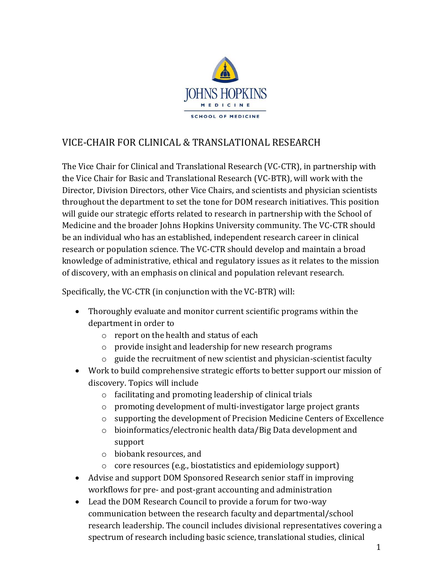

## VICE-CHAIR FOR CLINICAL & TRANSLATIONAL RESEARCH

The Vice Chair for Clinical and Translational Research (VC-CTR), in partnership with the Vice Chair for Basic and Translational Research (VC-BTR), will work with the Director, Division Directors, other Vice Chairs, and scientists and physician scientists throughout the department to set the tone for DOM research initiatives. This position will guide our strategic efforts related to research in partnership with the School of Medicine and the broader Johns Hopkins University community. The VC-CTR should be an individual who has an established, independent research career in clinical research or population science. The VC-CTR should develop and maintain a broad knowledge of administrative, ethical and regulatory issues as it relates to the mission of discovery, with an emphasis on clinical and population relevant research.

Specifically, the VC-CTR (in conjunction with the VC-BTR) will:

- Thoroughly evaluate and monitor current scientific programs within the department in order to
	- o report on the health and status of each
	- o provide insight and leadership for new research programs
	- o guide the recruitment of new scientist and physician-scientist faculty
- Work to build comprehensive strategic efforts to better support our mission of discovery. Topics will include
	- o facilitating and promoting leadership of clinical trials
	- o promoting development of multi-investigator large project grants
	- o supporting the development of Precision Medicine Centers of Excellence
	- o bioinformatics/electronic health data/Big Data development and support
	- o biobank resources, and
	- o core resources (e.g., biostatistics and epidemiology support)
- Advise and support DOM Sponsored Research senior staff in improving workflows for pre- and post-grant accounting and administration
- Lead the DOM Research Council to provide a forum for two-way communication between the research faculty and departmental/school research leadership. The council includes divisional representatives covering a spectrum of research including basic science, translational studies, clinical